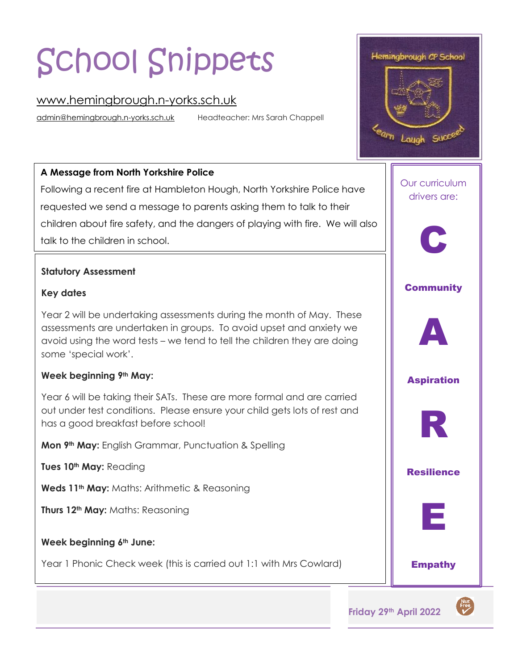# School Snippets

## [www.hemingbrough.n-yorks.sch.uk](http://www.hemingbrough.n-yorks.sch.uk/)

[admin@hemingbrough.n-yorks.sch.uk](mailto:admin@hemingbrough.n-yorks.sch.uk) Headteacher: Mrs Sarah Chappell

### **A Message from North Yorkshire Police**

 Following a recent fire at Hambleton Hough, North Yorkshire Police have requested we send a message to parents asking them to talk to their children about fire safety, and the dangers of playing with fire. We will also talk to the children in school.

#### **Statutory Assessment**

#### **Key dates**

Year 2 will be undertaking assessments during the month of May. These assessments are undertaken in groups. To avoid upset and anxiety we avoid using the word tests – we tend to tell the children they are doing some 'special work'.

#### **Week beginning 9th May:**

Year 6 will be taking their SATs. These are more formal and are carried out under test conditions. Please ensure your child gets lots of rest and has a good breakfast before school!

**Mon 9th May:** English Grammar, Punctuation & Spelling

**Tues 10th May:** Reading

**Weds 11th May:** Maths: Arithmetic & Reasoning

**Thurs 12th May:** Maths: Reasoning

#### **Week beginning 6th June:**

Year 1 Phonic Check week (this is carried out 1:1 with Mrs Cowlard)



Nut<br>Free